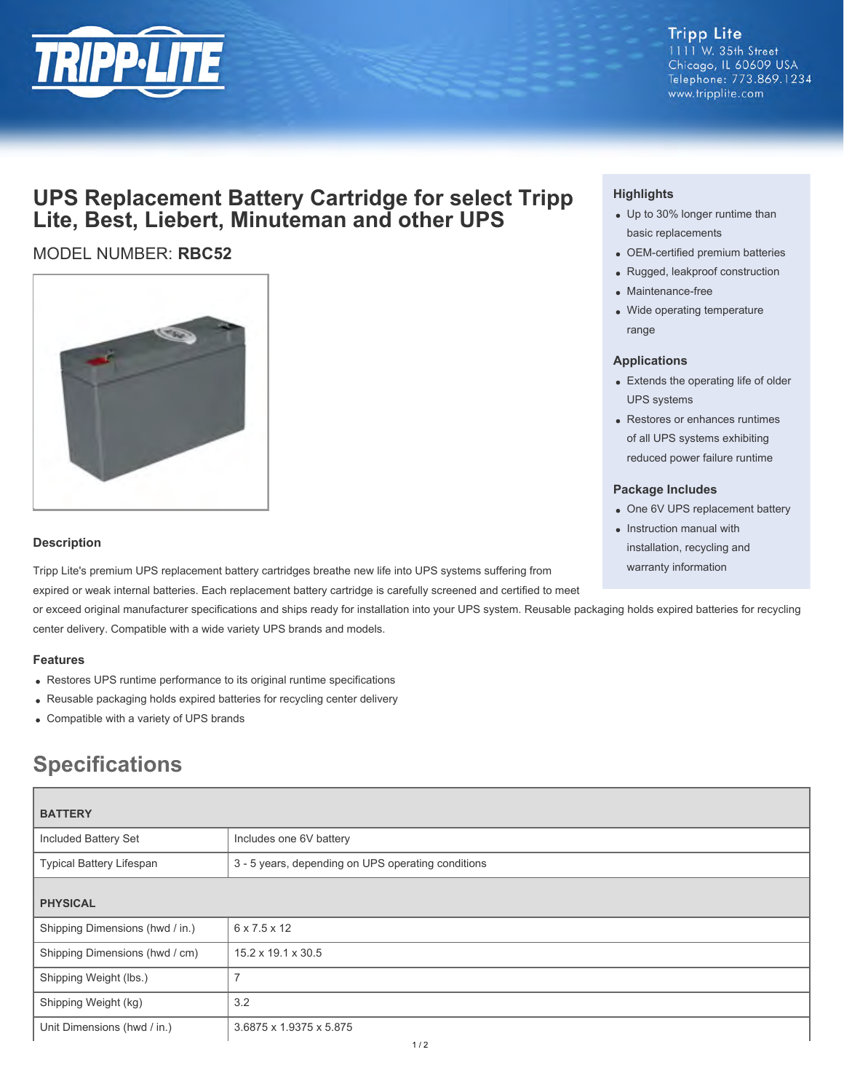

## **Tripp Lite** 1111 W. 35th Street

Chicago, IL 60609 USA Telephone: 773.869.1234 www.tripplite.com

## **UPS Replacement Battery Cartridge for select Tripp Lite, Best, Liebert, Minuteman and other UPS**

## MODEL NUMBER: **RBC52**



#### **Description**

Tripp Lite's premium UPS replacement battery cartridges breathe new life into UPS systems suffering from expired or weak internal batteries. Each replacement battery cartridge is carefully screened and certified to meet

or exceed original manufacturer specifications and ships ready for installation into your UPS system. Reusable packaging holds expired batteries for recycling center delivery. Compatible with a wide variety UPS brands and models.

#### **Features**

- Restores UPS runtime performance to its original runtime specifications
- Reusable packaging holds expired batteries for recycling center delivery
- Compatible with a variety of UPS brands

# **Specifications**

| <b>BATTERY</b>                  |                                                    |
|---------------------------------|----------------------------------------------------|
| Included Battery Set            | Includes one 6V battery                            |
| <b>Typical Battery Lifespan</b> | 3 - 5 years, depending on UPS operating conditions |
| <b>PHYSICAL</b>                 |                                                    |
| Shipping Dimensions (hwd / in.) | 6 x 7.5 x 12                                       |
| Shipping Dimensions (hwd / cm)  | $15.2 \times 19.1 \times 30.5$                     |
| Shipping Weight (lbs.)          |                                                    |
| Shipping Weight (kg)            | 3.2                                                |
| Unit Dimensions (hwd / in.)     | 3.6875 x 1.9375 x 5.875<br>$\overline{a}$          |

### **Highlights**

- Up to 30% longer runtime than basic replacements
- OEM-certified premium batteries
- Rugged, leakproof construction
- Maintenance-free
- Wide operating temperature range

#### **Applications**

- Extends the operating life of older UPS systems
- Restores or enhances runtimes of all UPS systems exhibiting reduced power failure runtime

#### **Package Includes**

- One 6V UPS replacement battery
- Instruction manual with installation, recycling and warranty information